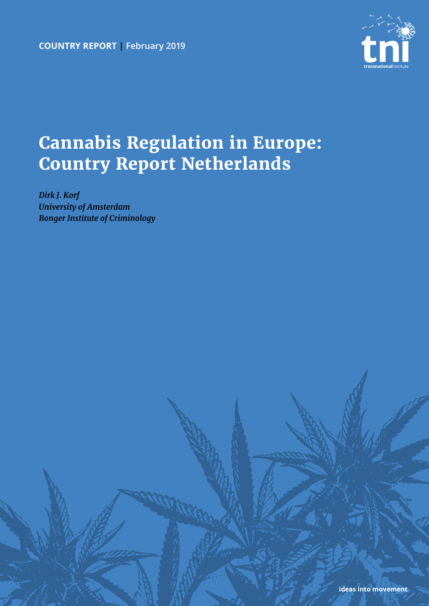**country report | February 2019**



# **Cannabis Regulation in Europe: Country Report Netherlands**

*Dirk J. Korf University of Amsterdam Bonger Institute of Criminology*

**ideas into movement**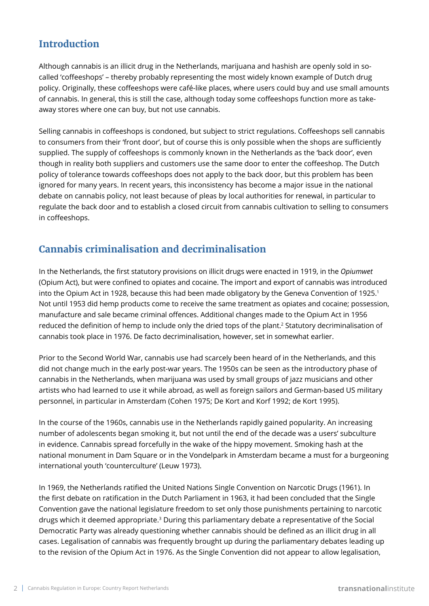#### **Introduction**

Although cannabis is an illicit drug in the Netherlands, marijuana and hashish are openly sold in socalled 'coffeeshops' – thereby probably representing the most widely known example of Dutch drug policy. Originally, these coffeeshops were café-like places, where users could buy and use small amounts of cannabis. In general, this is still the case, although today some coffeeshops function more as takeaway stores where one can buy, but not use cannabis.

Selling cannabis in coffeeshops is condoned, but subject to strict regulations. Coffeeshops sell cannabis to consumers from their 'front door', but of course this is only possible when the shops are sufficiently supplied. The supply of coffeeshops is commonly known in the Netherlands as the 'back door', even though in reality both suppliers and customers use the same door to enter the coffeeshop. The Dutch policy of tolerance towards coffeeshops does not apply to the back door, but this problem has been ignored for many years. In recent years, this inconsistency has become a major issue in the national debate on cannabis policy, not least because of pleas by local authorities for renewal, in particular to regulate the back door and to establish a closed circuit from cannabis cultivation to selling to consumers in coffeeshops.

#### **Cannabis criminalisation and decriminalisation**

In the Netherlands, the first statutory provisions on illicit drugs were enacted in 1919, in the *Opiumwet* (Opium Act), but were confined to opiates and cocaine. The import and export of cannabis was introduced into the Opium Act in 1928, because this had been made obligatory by the Geneva Convention of 1925.<sup>1</sup> Not until 1953 did hemp products come to receive the same treatment as opiates and cocaine; possession, manufacture and sale became criminal offences. Additional changes made to the Opium Act in 1956 reduced the definition of hemp to include only the dried tops of the plant.<sup>2</sup> Statutory decriminalisation of cannabis took place in 1976. De facto decriminalisation, however, set in somewhat earlier.

Prior to the Second World War, cannabis use had scarcely been heard of in the Netherlands, and this did not change much in the early post-war years. The 1950s can be seen as the introductory phase of cannabis in the Netherlands, when marijuana was used by small groups of jazz musicians and other artists who had learned to use it while abroad, as well as foreign sailors and German-based US military personnel, in particular in Amsterdam (Cohen 1975; De Kort and Korf 1992; de Kort 1995).

In the course of the 1960s, cannabis use in the Netherlands rapidly gained popularity. An increasing number of adolescents began smoking it, but not until the end of the decade was a users' subculture in evidence. Cannabis spread forcefully in the wake of the hippy movement. Smoking hash at the national monument in Dam Square or in the Vondelpark in Amsterdam became a must for a burgeoning international youth 'counterculture' (Leuw 1973).

In 1969, the Netherlands ratified the United Nations Single Convention on Narcotic Drugs (1961). In the first debate on ratification in the Dutch Parliament in 1963, it had been concluded that the Single Convention gave the national legislature freedom to set only those punishments pertaining to narcotic drugs which it deemed appropriate.3 During this parliamentary debate a representative of the Social Democratic Party was already questioning whether cannabis should be defined as an illicit drug in all cases. Legalisation of cannabis was frequently brought up during the parliamentary debates leading up to the revision of the Opium Act in 1976. As the Single Convention did not appear to allow legalisation,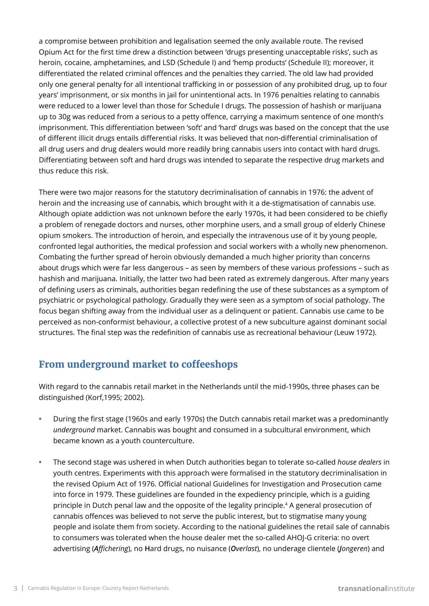a compromise between prohibition and legalisation seemed the only available route. The revised Opium Act for the first time drew a distinction between 'drugs presenting unacceptable risks', such as heroin, cocaine, amphetamines, and LSD (Schedule I) and 'hemp products' (Schedule II); moreover, it differentiated the related criminal offences and the penalties they carried. The old law had provided only one general penalty for all intentional trafficking in or possession of any prohibited drug, up to four years' imprisonment, or six months in jail for unintentional acts. In 1976 penalties relating to cannabis were reduced to a lower level than those for Schedule I drugs. The possession of hashish or marijuana up to 30g was reduced from a serious to a petty offence, carrying a maximum sentence of one month's imprisonment. This differentiation between 'soft' and 'hard' drugs was based on the concept that the use of different illicit drugs entails differential risks. It was believed that non-differential criminalisation of all drug users and drug dealers would more readily bring cannabis users into contact with hard drugs. Differentiating between soft and hard drugs was intended to separate the respective drug markets and thus reduce this risk.

There were two major reasons for the statutory decriminalisation of cannabis in 1976: the advent of heroin and the increasing use of cannabis, which brought with it a de-stigmatisation of cannabis use. Although opiate addiction was not unknown before the early 1970s, it had been considered to be chiefly a problem of renegade doctors and nurses, other morphine users, and a small group of elderly Chinese opium smokers. The introduction of heroin, and especially the intravenous use of it by young people, confronted legal authorities, the medical profession and social workers with a wholly new phenomenon. Combating the further spread of heroin obviously demanded a much higher priority than concerns about drugs which were far less dangerous – as seen by members of these various professions – such as hashish and marijuana. Initially, the latter two had been rated as extremely dangerous. After many years of defining users as criminals, authorities began redefining the use of these substances as a symptom of psychiatric or psychological pathology. Gradually they were seen as a symptom of social pathology. The focus began shifting away from the individual user as a delinquent or patient. Cannabis use came to be perceived as non-conformist behaviour, a collective protest of a new subculture against dominant social structures. The final step was the redefinition of cannabis use as recreational behaviour (Leuw 1972).

# **From underground market to coffeeshops**

With regard to the cannabis retail market in the Netherlands until the mid-1990s, three phases can be distinguished (Korf,1995; 2002).

- **•** During the first stage (1960s and early 1970s) the Dutch cannabis retail market was a predominantly *underground* market. Cannabis was bought and consumed in a subcultural environment, which became known as a youth counterculture.
- **•** The second stage was ushered in when Dutch authorities began to tolerate so-called *house dealers* in youth centres. Experiments with this approach were formalised in the statutory decriminalisation in the revised Opium Act of 1976. Official national Guidelines for Investigation and Prosecution came into force in 1979. These guidelines are founded in the expediency principle, which is a guiding principle in Dutch penal law and the opposite of the legality principle.<sup>4</sup> A general prosecution of cannabis offences was believed to not serve the public interest, but to stigmatise many young people and isolate them from society. According to the national guidelines the retail sale of cannabis to consumers was tolerated when the house dealer met the so-called AHOJ-G criteria: no overt advertising (*Affichering*), no **H**ard drugs, no nuisance (*Overlast*), no underage clientele (*Jongeren*) and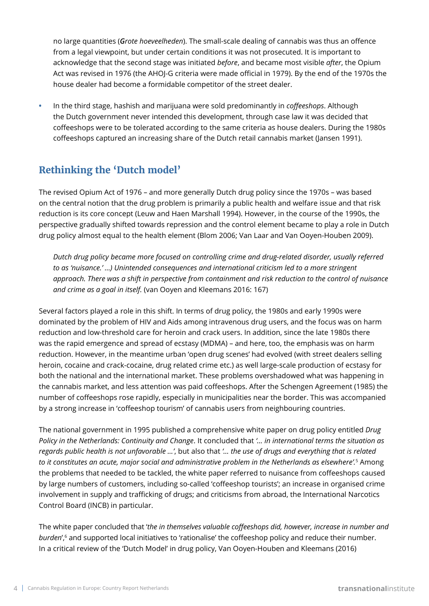no large quantities (*Grote hoeveelheden*). The small-scale dealing of cannabis was thus an offence from a legal viewpoint, but under certain conditions it was not prosecuted. It is important to acknowledge that the second stage was initiated *before*, and became most visible *after*, the Opium Act was revised in 1976 (the AHOJ-G criteria were made official in 1979). By the end of the 1970s the house dealer had become a formidable competitor of the street dealer.

**•** In the third stage, hashish and marijuana were sold predominantly in *coffeeshops*. Although the Dutch government never intended this development, through case law it was decided that coffeeshops were to be tolerated according to the same criteria as house dealers. During the 1980s coffeeshops captured an increasing share of the Dutch retail cannabis market (Jansen 1991).

### **Rethinking the 'Dutch model'**

The revised Opium Act of 1976 – and more generally Dutch drug policy since the 1970s – was based on the central notion that the drug problem is primarily a public health and welfare issue and that risk reduction is its core concept (Leuw and Haen Marshall 1994). However, in the course of the 1990s, the perspective gradually shifted towards repression and the control element became to play a role in Dutch drug policy almost equal to the health element (Blom 2006; Van Laar and Van Ooyen-Houben 2009).

*Dutch drug policy became more focused on controlling crime and drug-related disorder, usually referred to as 'nuisance.' …) Unintended consequences and international criticism led to a more stringent approach. There was a shift in perspective from containment and risk reduction to the control of nuisance and crime as a goal in itself.* (van Ooyen and Kleemans 2016: 167)

Several factors played a role in this shift. In terms of drug policy, the 1980s and early 1990s were dominated by the problem of HIV and Aids among intravenous drug users, and the focus was on harm reduction and low-threshold care for heroin and crack users. In addition, since the late 1980s there was the rapid emergence and spread of ecstasy (MDMA) – and here, too, the emphasis was on harm reduction. However, in the meantime urban 'open drug scenes' had evolved (with street dealers selling heroin, cocaine and crack-cocaine, drug related crime etc.) as well large-scale production of ecstasy for both the national and the international market. These problems overshadowed what was happening in the cannabis market, and less attention was paid coffeeshops. After the Schengen Agreement (1985) the number of coffeeshops rose rapidly, especially in municipalities near the border. This was accompanied by a strong increase in 'coffeeshop tourism' of cannabis users from neighbouring countries.

The national government in 1995 published a comprehensive white paper on drug policy entitled *Drug Policy in the Netherlands: Continuity and Change*. It concluded that *'… in international terms the situation as regards public health is not unfavorable …'*, but also that *'… the use of drugs and everything that is related to it constitutes an acute, major social and administrative problem in the Netherlands as elsewhere'.*<sup>5</sup> Among the problems that needed to be tackled, the white paper referred to nuisance from coffeeshops caused by large numbers of customers, including so-called 'coffeeshop tourists'; an increase in organised crime involvement in supply and trafficking of drugs; and criticisms from abroad, the International Narcotics Control Board (INCB) in particular.

The white paper concluded that '*the in themselves valuable coffeeshops did, however, increase in number and*  burden',<sup>6</sup> and supported local initiatives to 'rationalise' the coffeeshop policy and reduce their number. In a critical review of the 'Dutch Model' in drug policy, Van Ooyen-Houben and Kleemans (2016)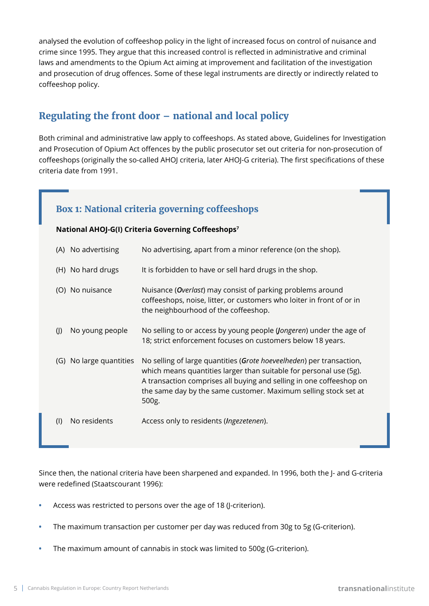analysed the evolution of coffeeshop policy in the light of increased focus on control of nuisance and crime since 1995. They argue that this increased control is reflected in administrative and criminal laws and amendments to the Opium Act aiming at improvement and facilitation of the investigation and prosecution of drug offences. Some of these legal instruments are directly or indirectly related to coffeeshop policy.

#### **Regulating the front door – national and local policy**

Both criminal and administrative law apply to coffeeshops. As stated above, Guidelines for Investigation and Prosecution of Opium Act offences by the public prosecutor set out criteria for non-prosecution of coffeeshops (originally the so-called AHOJ criteria, later AHOJ-G criteria). The first specifications of these criteria date from 1991.

#### **Box 1: National criteria governing coffeeshops**

#### **National AHOJ-G(I) Criteria Governing Coffeeshops<sup>7</sup>**

| (A) No advertising      | No advertising, apart from a minor reference (on the shop).                                                                                                                                                                                                                                   |
|-------------------------|-----------------------------------------------------------------------------------------------------------------------------------------------------------------------------------------------------------------------------------------------------------------------------------------------|
| (H) No hard drugs       | It is forbidden to have or sell hard drugs in the shop.                                                                                                                                                                                                                                       |
| (O) No nuisance         | Nuisance ( <i>Overlast</i> ) may consist of parking problems around<br>coffeeshops, noise, litter, or customers who loiter in front of or in<br>the neighbourhood of the coffeeshop.                                                                                                          |
| No young people<br>(    | No selling to or access by young people (Jongeren) under the age of<br>18; strict enforcement focuses on customers below 18 years.                                                                                                                                                            |
| (G) No large quantities | No selling of large quantities (Grote hoeveelheden) per transaction,<br>which means quantities larger than suitable for personal use (5g).<br>A transaction comprises all buying and selling in one coffeeshop on<br>the same day by the same customer. Maximum selling stock set at<br>500g. |
| No residents<br>$($     | Access only to residents ( <i>Ingezetenen</i> ).                                                                                                                                                                                                                                              |

Since then, the national criteria have been sharpened and expanded. In 1996, both the J- and G-criteria were redefined (Staatscourant 1996):

- **•** Access was restricted to persons over the age of 18 (J-criterion).
- **•** The maximum transaction per customer per day was reduced from 30g to 5g (G-criterion).
- **•** The maximum amount of cannabis in stock was limited to 500g (G-criterion).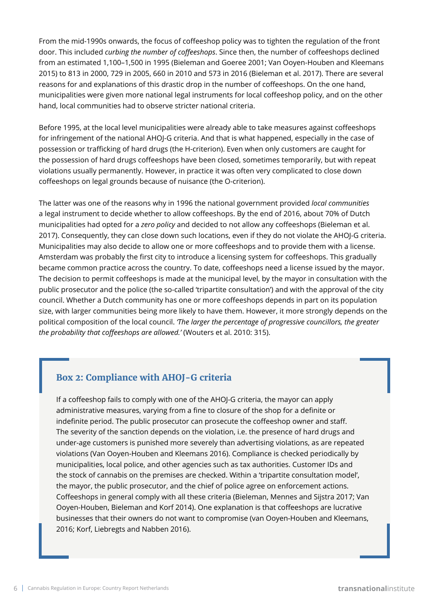From the mid-1990s onwards, the focus of coffeeshop policy was to tighten the regulation of the front door. This included *curbing the number of coffeeshops*. Since then, the number of coffeeshops declined from an estimated 1,100–1,500 in 1995 (Bieleman and Goeree 2001; Van Ooyen-Houben and Kleemans 2015) to 813 in 2000, 729 in 2005, 660 in 2010 and 573 in 2016 (Bieleman et al. 2017). There are several reasons for and explanations of this drastic drop in the number of coffeeshops. On the one hand, municipalities were given more national legal instruments for local coffeeshop policy, and on the other hand, local communities had to observe stricter national criteria.

Before 1995, at the local level municipalities were already able to take measures against coffeeshops for infringement of the national AHOJ-G criteria. And that is what happened, especially in the case of possession or trafficking of hard drugs (the H-criterion). Even when only customers are caught for the possession of hard drugs coffeeshops have been closed, sometimes temporarily, but with repeat violations usually permanently. However, in practice it was often very complicated to close down coffeeshops on legal grounds because of nuisance (the O-criterion).

The latter was one of the reasons why in 1996 the national government provided *local communities* a legal instrument to decide whether to allow coffeeshops. By the end of 2016, about 70% of Dutch municipalities had opted for a *zero policy* and decided to not allow any coffeeshops (Bieleman et al. 2017). Consequently, they can close down such locations, even if they do not violate the AHOJ-G criteria. Municipalities may also decide to allow one or more coffeeshops and to provide them with a license. Amsterdam was probably the first city to introduce a licensing system for coffeeshops. This gradually became common practice across the country. To date, coffeeshops need a license issued by the mayor. The decision to permit coffeeshops is made at the municipal level, by the mayor in consultation with the public prosecutor and the police (the so-called 'tripartite consultation') and with the approval of the city council. Whether a Dutch community has one or more coffeeshops depends in part on its population size, with larger communities being more likely to have them. However, it more strongly depends on the political composition of the local council. *'The larger the percentage of progressive councillors, the greater the probability that coffeeshops are allowed.'* (Wouters et al. 2010: 315).

#### **Box 2: Compliance with AHOJ-G criteria**

If a coffeeshop fails to comply with one of the AHOJ-G criteria, the mayor can apply administrative measures, varying from a fine to closure of the shop for a definite or indefinite period. The public prosecutor can prosecute the coffeeshop owner and staff. The severity of the sanction depends on the violation, i.e. the presence of hard drugs and under-age customers is punished more severely than advertising violations, as are repeated violations (Van Ooyen-Houben and Kleemans 2016). Compliance is checked periodically by municipalities, local police, and other agencies such as tax authorities. Customer IDs and the stock of cannabis on the premises are checked. Within a 'tripartite consultation model', the mayor, the public prosecutor, and the chief of police agree on enforcement actions. Coffeeshops in general comply with all these criteria (Bieleman, Mennes and Sijstra 2017; Van Ooyen-Houben, Bieleman and Korf 2014). One explanation is that coffeeshops are lucrative businesses that their owners do not want to compromise (van Ooyen-Houben and Kleemans, 2016; Korf, Liebregts and Nabben 2016).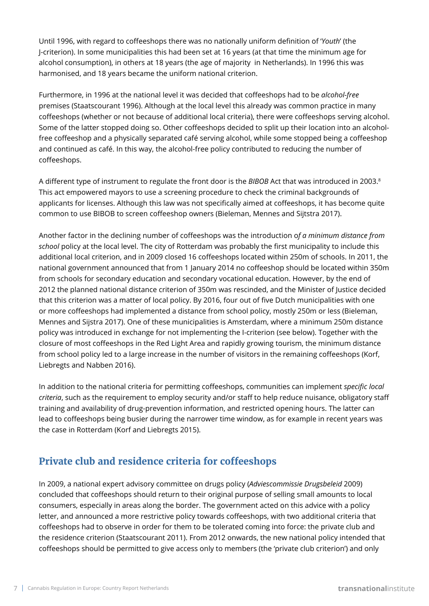Until 1996, with regard to coffeeshops there was no nationally uniform definition of '*Youth*' (the J-criterion). In some municipalities this had been set at 16 years (at that time the minimum age for alcohol consumption), in others at 18 years (the age of majority in Netherlands). In 1996 this was harmonised, and 18 years became the uniform national criterion.

Furthermore, in 1996 at the national level it was decided that coffeeshops had to be *alcohol-free* premises (Staatscourant 1996). Although at the local level this already was common practice in many coffeeshops (whether or not because of additional local criteria), there were coffeeshops serving alcohol. Some of the latter stopped doing so. Other coffeeshops decided to split up their location into an alcoholfree coffeeshop and a physically separated café serving alcohol, while some stopped being a coffeeshop and continued as café. In this way, the alcohol-free policy contributed to reducing the number of coffeeshops.

A different type of instrument to regulate the front door is the *BIBOB* Act that was introduced in 2003.8 This act empowered mayors to use a screening procedure to check the criminal backgrounds of applicants for licenses. Although this law was not specifically aimed at coffeeshops, it has become quite common to use BIBOB to screen coffeeshop owners (Bieleman, Mennes and Sijtstra 2017).

Another factor in the declining number of coffeeshops was the introduction o*f a minimum distance from school* policy at the local level. The city of Rotterdam was probably the first municipality to include this additional local criterion, and in 2009 closed 16 coffeeshops located within 250m of schools. In 2011, the national government announced that from 1 January 2014 no coffeeshop should be located within 350m from schools for secondary education and secondary vocational education. However, by the end of 2012 the planned national distance criterion of 350m was rescinded, and the Minister of Justice decided that this criterion was a matter of local policy. By 2016, four out of five Dutch municipalities with one or more coffeeshops had implemented a distance from school policy, mostly 250m or less (Bieleman, Mennes and Sijstra 2017). One of these municipalities is Amsterdam, where a minimum 250m distance policy was introduced in exchange for not implementing the I-criterion (see below). Together with the closure of most coffeeshops in the Red Light Area and rapidly growing tourism, the minimum distance from school policy led to a large increase in the number of visitors in the remaining coffeeshops (Korf, Liebregts and Nabben 2016).

In addition to the national criteria for permitting coffeeshops, communities can implement *specific local criteria*, such as the requirement to employ security and/or staff to help reduce nuisance, obligatory staff training and availability of drug-prevention information, and restricted opening hours. The latter can lead to coffeeshops being busier during the narrower time window, as for example in recent years was the case in Rotterdam (Korf and Liebregts 2015).

# **Private club and residence criteria for coffeeshops**

In 2009, a national expert advisory committee on drugs policy (*Adviescommissie Drugsbeleid* 2009) concluded that coffeeshops should return to their original purpose of selling small amounts to local consumers, especially in areas along the border. The government acted on this advice with a policy letter, and announced a more restrictive policy towards coffeeshops, with two additional criteria that coffeeshops had to observe in order for them to be tolerated coming into force: the private club and the residence criterion (Staatscourant 2011). From 2012 onwards, the new national policy intended that coffeeshops should be permitted to give access only to members (the 'private club criterion') and only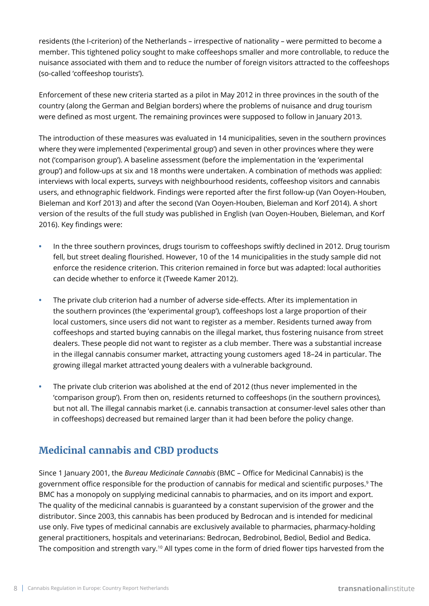residents (the I-criterion) of the Netherlands – irrespective of nationality – were permitted to become a member. This tightened policy sought to make coffeeshops smaller and more controllable, to reduce the nuisance associated with them and to reduce the number of foreign visitors attracted to the coffeeshops (so-called 'coffeeshop tourists').

Enforcement of these new criteria started as a pilot in May 2012 in three provinces in the south of the country (along the German and Belgian borders) where the problems of nuisance and drug tourism were defined as most urgent. The remaining provinces were supposed to follow in January 2013.

The introduction of these measures was evaluated in 14 municipalities, seven in the southern provinces where they were implemented ('experimental group') and seven in other provinces where they were not ('comparison group'). A baseline assessment (before the implementation in the 'experimental group') and follow-ups at six and 18 months were undertaken. A combination of methods was applied: interviews with local experts, surveys with neighbourhood residents, coffeeshop visitors and cannabis users, and ethnographic fieldwork. Findings were reported after the first follow-up (Van Ooyen-Houben, Bieleman and Korf 2013) and after the second (Van Ooyen-Houben, Bieleman and Korf 2014). A short version of the results of the full study was published in English (van Ooyen-Houben, Bieleman, and Korf 2016). Key findings were:

- **•** In the three southern provinces, drugs tourism to coffeeshops swiftly declined in 2012. Drug tourism fell, but street dealing flourished. However, 10 of the 14 municipalities in the study sample did not enforce the residence criterion. This criterion remained in force but was adapted: local authorities can decide whether to enforce it (Tweede Kamer 2012).
- **•** The private club criterion had a number of adverse side-effects. After its implementation in the southern provinces (the 'experimental group'), coffeeshops lost a large proportion of their local customers, since users did not want to register as a member. Residents turned away from coffeeshops and started buying cannabis on the illegal market, thus fostering nuisance from street dealers. These people did not want to register as a club member. There was a substantial increase in the illegal cannabis consumer market, attracting young customers aged 18–24 in particular. The growing illegal market attracted young dealers with a vulnerable background.
- **•** The private club criterion was abolished at the end of 2012 (thus never implemented in the 'comparison group'). From then on, residents returned to coffeeshops (in the southern provinces), but not all. The illegal cannabis market (i.e. cannabis transaction at consumer-level sales other than in coffeeshops) decreased but remained larger than it had been before the policy change.

#### **Medicinal cannabis and CBD products**

Since 1 January 2001, the *Bureau Medicinale Cannabis* (BMC – Office for Medicinal Cannabis) is the government office responsible for the production of cannabis for medical and scientific purposes.9 The BMC has a monopoly on supplying medicinal cannabis to pharmacies, and on its import and export. The quality of the medicinal cannabis is guaranteed by a constant supervision of the grower and the distributor. Since 2003, this cannabis has been produced by Bedrocan and is intended for medicinal use only. Five types of medicinal cannabis are exclusively available to pharmacies, pharmacy-holding general practitioners, hospitals and veterinarians: Bedrocan, Bedrobinol, Bediol, Bediol and Bedica. The composition and strength vary.<sup>10</sup> All types come in the form of dried flower tips harvested from the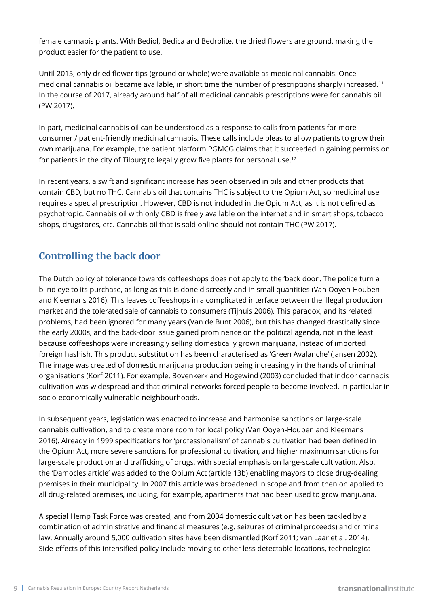female cannabis plants. With Bediol, Bedica and Bedrolite, the dried flowers are ground, making the product easier for the patient to use.

Until 2015, only dried flower tips (ground or whole) were available as medicinal cannabis. Once medicinal cannabis oil became available, in short time the number of prescriptions sharply increased.11 In the course of 2017, already around half of all medicinal cannabis prescriptions were for cannabis oil (PW 2017).

In part, medicinal cannabis oil can be understood as a response to calls from patients for more consumer / patient-friendly medicinal cannabis. These calls include pleas to allow patients to grow their own marijuana. For example, the patient platform PGMCG claims that it succeeded in gaining permission for patients in the city of Tilburg to legally grow five plants for personal use.12

In recent years, a swift and significant increase has been observed in oils and other products that contain CBD, but no THC. Cannabis oil that contains THC is subject to the Opium Act, so medicinal use requires a special prescription. However, CBD is not included in the Opium Act, as it is not defined as psychotropic. Cannabis oil with only CBD is freely available on the internet and in smart shops, tobacco shops, drugstores, etc. Cannabis oil that is sold online should not contain THC (PW 2017).

### **Controlling the back door**

The Dutch policy of tolerance towards coffeeshops does not apply to the 'back door'. The police turn a blind eye to its purchase, as long as this is done discreetly and in small quantities (Van Ooyen-Houben and Kleemans 2016). This leaves coffeeshops in a complicated interface between the illegal production market and the tolerated sale of cannabis to consumers (Tijhuis 2006). This paradox, and its related problems, had been ignored for many years (Van de Bunt 2006), but this has changed drastically since the early 2000s, and the back-door issue gained prominence on the political agenda, not in the least because coffeeshops were increasingly selling domestically grown marijuana, instead of imported foreign hashish. This product substitution has been characterised as 'Green Avalanche' (Jansen 2002). The image was created of domestic marijuana production being increasingly in the hands of criminal organisations (Korf 2011). For example, Bovenkerk and Hogewind (2003) concluded that indoor cannabis cultivation was widespread and that criminal networks forced people to become involved, in particular in socio-economically vulnerable neighbourhoods.

In subsequent years, legislation was enacted to increase and harmonise sanctions on large-scale cannabis cultivation, and to create more room for local policy (Van Ooyen-Houben and Kleemans 2016). Already in 1999 specifications for 'professionalism' of cannabis cultivation had been defined in the Opium Act, more severe sanctions for professional cultivation, and higher maximum sanctions for large-scale production and trafficking of drugs, with special emphasis on large-scale cultivation. Also, the 'Damocles article' was added to the Opium Act (article 13b) enabling mayors to close drug-dealing premises in their municipality. In 2007 this article was broadened in scope and from then on applied to all drug-related premises, including, for example, apartments that had been used to grow marijuana.

A special Hemp Task Force was created, and from 2004 domestic cultivation has been tackled by a combination of administrative and financial measures (e.g. seizures of criminal proceeds) and criminal law. Annually around 5,000 cultivation sites have been dismantled (Korf 2011; van Laar et al. 2014). Side-effects of this intensified policy include moving to other less detectable locations, technological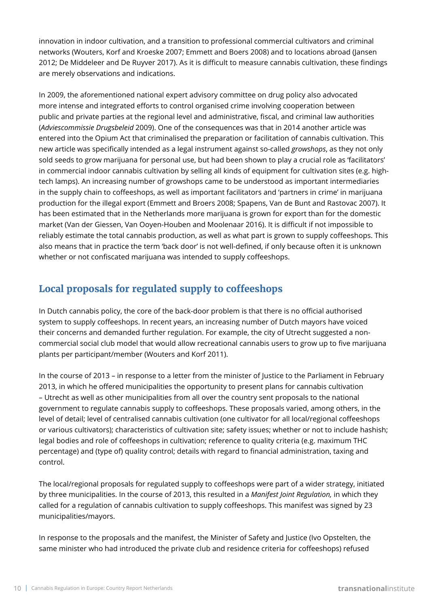innovation in indoor cultivation, and a transition to professional commercial cultivators and criminal networks (Wouters, Korf and Kroeske 2007; Emmett and Boers 2008) and to locations abroad (Jansen 2012; De Middeleer and De Ruyver 2017). As it is difficult to measure cannabis cultivation, these findings are merely observations and indications.

In 2009, the aforementioned national expert advisory committee on drug policy also advocated more intense and integrated efforts to control organised crime involving cooperation between public and private parties at the regional level and administrative, fiscal, and criminal law authorities (*Adviescommissie Drugsbeleid* 2009). One of the consequences was that in 2014 another article was entered into the Opium Act that criminalised the preparation or facilitation of cannabis cultivation. This new article was specifically intended as a legal instrument against so-called *growshops*, as they not only sold seeds to grow marijuana for personal use, but had been shown to play a crucial role as 'facilitators' in commercial indoor cannabis cultivation by selling all kinds of equipment for cultivation sites (e.g. hightech lamps). An increasing number of growshops came to be understood as important intermediaries in the supply chain to coffeeshops, as well as important facilitators and 'partners in crime' in marijuana production for the illegal export (Emmett and Broers 2008; Spapens, Van de Bunt and Rastovac 2007). It has been estimated that in the Netherlands more marijuana is grown for export than for the domestic market (Van der Giessen, Van Ooyen-Houben and Moolenaar 2016). It is difficult if not impossible to reliably estimate the total cannabis production, as well as what part is grown to supply coffeeshops. This also means that in practice the term 'back door' is not well-defined, if only because often it is unknown whether or not confiscated marijuana was intended to supply coffeeshops.

### **Local proposals for regulated supply to coffeeshops**

In Dutch cannabis policy, the core of the back-door problem is that there is no official authorised system to supply coffeeshops. In recent years, an increasing number of Dutch mayors have voiced their concerns and demanded further regulation. For example, the city of Utrecht suggested a noncommercial social club model that would allow recreational cannabis users to grow up to five marijuana plants per participant/member (Wouters and Korf 2011).

In the course of 2013 – in response to a letter from the minister of Justice to the Parliament in February 2013, in which he offered municipalities the opportunity to present plans for cannabis cultivation – Utrecht as well as other municipalities from all over the country sent proposals to the national government to regulate cannabis supply to coffeeshops. These proposals varied, among others, in the level of detail; level of centralised cannabis cultivation (one cultivator for all local/regional coffeeshops or various cultivators); characteristics of cultivation site; safety issues; whether or not to include hashish; legal bodies and role of coffeeshops in cultivation; reference to quality criteria (e.g. maximum THC percentage) and (type of) quality control; details with regard to financial administration, taxing and control.

The local/regional proposals for regulated supply to coffeeshops were part of a wider strategy, initiated by three municipalities. In the course of 2013, this resulted in a *Manifest Joint Regulation,* in which they called for a regulation of cannabis cultivation to supply coffeeshops. This manifest was signed by 23 municipalities/mayors.

In response to the proposals and the manifest, the Minister of Safety and Justice (Ivo Opstelten, the same minister who had introduced the private club and residence criteria for coffeeshops) refused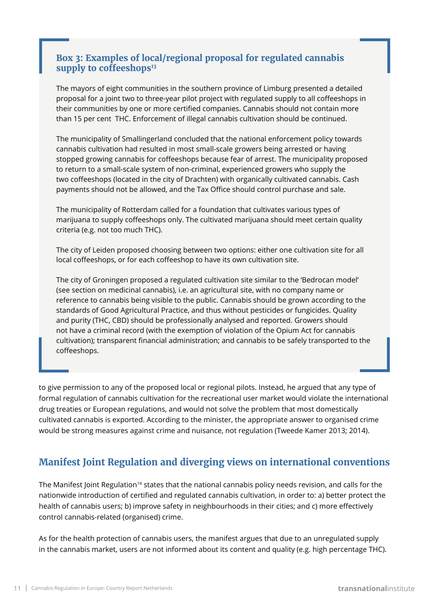#### **Box 3: Examples of local/regional proposal for regulated cannabis**  supply to coffeeshops<sup>13</sup>

The mayors of eight communities in the southern province of Limburg presented a detailed proposal for a joint two to three-year pilot project with regulated supply to all coffeeshops in their communities by one or more certified companies. Cannabis should not contain more than 15 per cent THC. Enforcement of illegal cannabis cultivation should be continued.

The municipality of Smallingerland concluded that the national enforcement policy towards cannabis cultivation had resulted in most small-scale growers being arrested or having stopped growing cannabis for coffeeshops because fear of arrest. The municipality proposed to return to a small-scale system of non-criminal, experienced growers who supply the two coffeeshops (located in the city of Drachten) with organically cultivated cannabis. Cash payments should not be allowed, and the Tax Office should control purchase and sale.

The municipality of Rotterdam called for a foundation that cultivates various types of marijuana to supply coffeeshops only. The cultivated marijuana should meet certain quality criteria (e.g. not too much THC).

The city of Leiden proposed choosing between two options: either one cultivation site for all local coffeeshops, or for each coffeeshop to have its own cultivation site.

The city of Groningen proposed a regulated cultivation site similar to the 'Bedrocan model' (see section on medicinal cannabis), i.e. an agricultural site, with no company name or reference to cannabis being visible to the public. Cannabis should be grown according to the standards of Good Agricultural Practice, and thus without pesticides or fungicides. Quality and purity (THC, CBD) should be professionally analysed and reported. Growers should not have a criminal record (with the exemption of violation of the Opium Act for cannabis cultivation); transparent financial administration; and cannabis to be safely transported to the coffeeshops.

to give permission to any of the proposed local or regional pilots. Instead, he argued that any type of formal regulation of cannabis cultivation for the recreational user market would violate the international drug treaties or European regulations, and would not solve the problem that most domestically cultivated cannabis is exported. According to the minister, the appropriate answer to organised crime would be strong measures against crime and nuisance, not regulation (Tweede Kamer 2013; 2014).

# **Manifest Joint Regulation and diverging views on international conventions**

The Manifest Joint Regulation<sup>14</sup> states that the national cannabis policy needs revision, and calls for the nationwide introduction of certified and regulated cannabis cultivation, in order to: a) better protect the health of cannabis users; b) improve safety in neighbourhoods in their cities; and c) more effectively control cannabis-related (organised) crime.

As for the health protection of cannabis users, the manifest argues that due to an unregulated supply in the cannabis market, users are not informed about its content and quality (e.g. high percentage THC).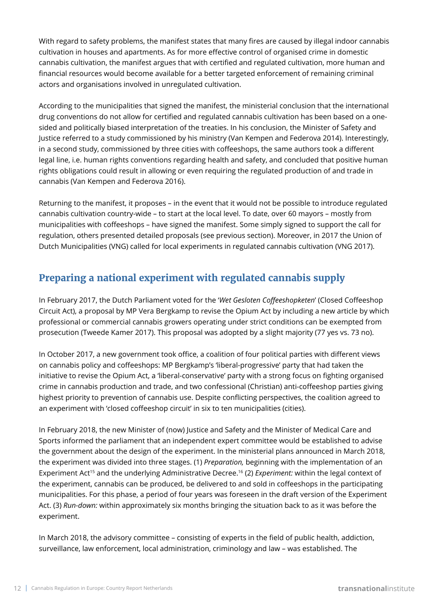With regard to safety problems, the manifest states that many fires are caused by illegal indoor cannabis cultivation in houses and apartments. As for more effective control of organised crime in domestic cannabis cultivation, the manifest argues that with certified and regulated cultivation, more human and financial resources would become available for a better targeted enforcement of remaining criminal actors and organisations involved in unregulated cultivation.

According to the municipalities that signed the manifest, the ministerial conclusion that the international drug conventions do not allow for certified and regulated cannabis cultivation has been based on a onesided and politically biased interpretation of the treaties. In his conclusion, the Minister of Safety and Justice referred to a study commissioned by his ministry (Van Kempen and Federova 2014). Interestingly, in a second study, commissioned by three cities with coffeeshops, the same authors took a different legal line, i.e. human rights conventions regarding health and safety, and concluded that positive human rights obligations could result in allowing or even requiring the regulated production of and trade in cannabis (Van Kempen and Federova 2016).

Returning to the manifest, it proposes – in the event that it would not be possible to introduce regulated cannabis cultivation country-wide – to start at the local level. To date, over 60 mayors – mostly from municipalities with coffeeshops – have signed the manifest. Some simply signed to support the call for regulation, others presented detailed proposals (see previous section). Moreover, in 2017 the Union of Dutch Municipalities (VNG) called for local experiments in regulated cannabis cultivation (VNG 2017).

# **Preparing a national experiment with regulated cannabis supply**

In February 2017, the Dutch Parliament voted for the '*Wet Gesloten Coffeeshopketen*' (Closed Coffeeshop Circuit Act), a proposal by MP Vera Bergkamp to revise the Opium Act by including a new article by which professional or commercial cannabis growers operating under strict conditions can be exempted from prosecution (Tweede Kamer 2017). This proposal was adopted by a slight majority (77 yes vs. 73 no).

In October 2017, a new government took office, a coalition of four political parties with different views on cannabis policy and coffeeshops: MP Bergkamp's 'liberal-progressive' party that had taken the initiative to revise the Opium Act, a 'liberal-conservative' party with a strong focus on fighting organised crime in cannabis production and trade, and two confessional (Christian) anti-coffeeshop parties giving highest priority to prevention of cannabis use. Despite conflicting perspectives, the coalition agreed to an experiment with 'closed coffeeshop circuit' in six to ten municipalities (cities).

In February 2018, the new Minister of (now) Justice and Safety and the Minister of Medical Care and Sports informed the parliament that an independent expert committee would be established to advise the government about the design of the experiment. In the ministerial plans announced in March 2018, the experiment was divided into three stages. (1) *Preparation,* beginning with the implementation of an Experiment Act15 and the underlying Administrative Decree.16 (2) *Experiment:* within the legal context of the experiment, cannabis can be produced, be delivered to and sold in coffeeshops in the participating municipalities. For this phase, a period of four years was foreseen in the draft version of the Experiment Act. (3) *Run-down:* within approximately six months bringing the situation back to as it was before the experiment.

In March 2018, the advisory committee – consisting of experts in the field of public health, addiction, surveillance, law enforcement, local administration, criminology and law – was established. The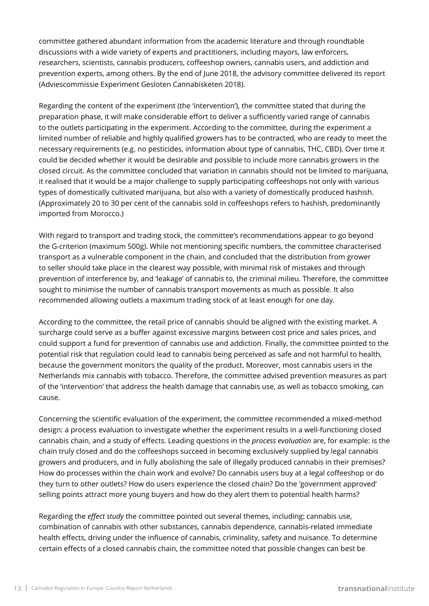committee gathered abundant information from the academic literature and through roundtable discussions with a wide variety of experts and practitioners, including mayors, law enforcers, researchers, scientists, cannabis producers, coffeeshop owners, cannabis users, and addiction and prevention experts, among others. By the end of June 2018, the advisory committee delivered its report (Adviescommissie Experiment Gesloten Cannabisketen 2018).

Regarding the content of the experiment (the 'intervention'), the committee stated that during the preparation phase, it will make considerable effort to deliver a sufficiently varied range of cannabis to the outlets participating in the experiment. According to the committee, during the experiment a limited number of reliable and highly qualified growers has to be contracted, who are ready to meet the necessary requirements (e.g. no pesticides, information about type of cannabis, THC, CBD). Over time it could be decided whether it would be desirable and possible to include more cannabis growers in the closed circuit. As the committee concluded that variation in cannabis should not be limited to marijuana, it realised that it would be a major challenge to supply participating coffeeshops not only with various types of domestically cultivated marijuana, but also with a variety of domestically produced hashish. (Approximately 20 to 30 per cent of the cannabis sold in coffeeshops refers to hashish, predominantly imported from Morocco.)

With regard to transport and trading stock, the committee's recommendations appear to go beyond the G-criterion (maximum 500g). While not mentioning specific numbers, the committee characterised transport as a vulnerable component in the chain, and concluded that the distribution from grower to seller should take place in the clearest way possible, with minimal risk of mistakes and through prevention of interference by, and 'leakage' of cannabis to, the criminal milieu. Therefore, the committee sought to minimise the number of cannabis transport movements as much as possible. It also recommended allowing outlets a maximum trading stock of at least enough for one day.

According to the committee, the retail price of cannabis should be aligned with the existing market. A surcharge could serve as a buffer against excessive margins between cost price and sales prices, and could support a fund for prevention of cannabis use and addiction. Finally, the committee pointed to the potential risk that regulation could lead to cannabis being perceived as safe and not harmful to health, because the government monitors the quality of the product. Moreover, most cannabis users in the Netherlands mix cannabis with tobacco. Therefore, the committee advised prevention measures as part of the 'intervention' that address the health damage that cannabis use, as well as tobacco smoking, can cause.

Concerning the scientific evaluation of the experiment, the committee recommended a mixed-method design: a process evaluation to investigate whether the experiment results in a well-functioning closed cannabis chain, and a study of effects. Leading questions in the *process evaluation* are, for example: is the chain truly closed and do the coffeeshops succeed in becoming exclusively supplied by legal cannabis growers and producers, and in fully abolishing the sale of illegally produced cannabis in their premises? How do processes within the chain work and evolve? Do cannabis users buy at a legal coffeeshop or do they turn to other outlets? How do users experience the closed chain? Do the 'government approved' selling points attract more young buyers and how do they alert them to potential health harms?

Regarding the *effect study* the committee pointed out several themes, including: cannabis use, combination of cannabis with other substances, cannabis dependence, cannabis-related immediate health effects, driving under the influence of cannabis, criminality, safety and nuisance. To determine certain effects of a closed cannabis chain, the committee noted that possible changes can best be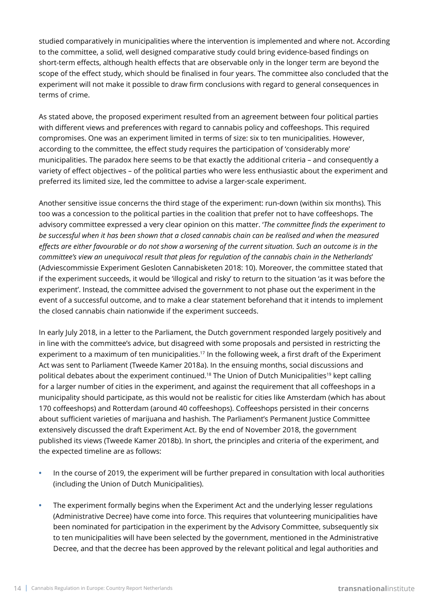studied comparatively in municipalities where the intervention is implemented and where not. According to the committee, a solid, well designed comparative study could bring evidence-based findings on short-term effects, although health effects that are observable only in the longer term are beyond the scope of the effect study, which should be finalised in four years. The committee also concluded that the experiment will not make it possible to draw firm conclusions with regard to general consequences in terms of crime.

As stated above, the proposed experiment resulted from an agreement between four political parties with different views and preferences with regard to cannabis policy and coffeeshops. This required compromises. One was an experiment limited in terms of size: six to ten municipalities. However, according to the committee, the effect study requires the participation of 'considerably more' municipalities. The paradox here seems to be that exactly the additional criteria – and consequently a variety of effect objectives – of the political parties who were less enthusiastic about the experiment and preferred its limited size, led the committee to advise a larger-scale experiment.

Another sensitive issue concerns the third stage of the experiment: run-down (within six months). This too was a concession to the political parties in the coalition that prefer not to have coffeeshops. The advisory committee expressed a very clear opinion on this matter. '*The committee finds the experiment to be successful when it has been shown that a closed cannabis chain can be realised and when the measured effects are either favourable or do not show a worsening of the current situation. Such an outcome is in the committee's view an unequivocal result that pleas for regulation of the cannabis chain in the Netherlands*' (Adviescommissie Experiment Gesloten Cannabisketen 2018: 10). Moreover, the committee stated that if the experiment succeeds, it would be 'illogical and risky' to return to the situation 'as it was before the experiment'. Instead, the committee advised the government to not phase out the experiment in the event of a successful outcome, and to make a clear statement beforehand that it intends to implement the closed cannabis chain nationwide if the experiment succeeds.

In early July 2018, in a letter to the Parliament, the Dutch government responded largely positively and in line with the committee's advice, but disagreed with some proposals and persisted in restricting the experiment to a maximum of ten municipalities.<sup>17</sup> In the following week, a first draft of the Experiment Act was sent to Parliament (Tweede Kamer 2018a). In the ensuing months, social discussions and political debates about the experiment continued.18 The Union of Dutch Municipalities19 kept calling for a larger number of cities in the experiment, and against the requirement that all coffeeshops in a municipality should participate, as this would not be realistic for cities like Amsterdam (which has about 170 coffeeshops) and Rotterdam (around 40 coffeeshops). Coffeeshops persisted in their concerns about sufficient varieties of marijuana and hashish. The Parliament's Permanent Justice Committee extensively discussed the draft Experiment Act. By the end of November 2018, the government published its views (Tweede Kamer 2018b). In short, the principles and criteria of the experiment, and the expected timeline are as follows:

- **•** In the course of 2019, the experiment will be further prepared in consultation with local authorities (including the Union of Dutch Municipalities).
- **•** The experiment formally begins when the Experiment Act and the underlying lesser regulations (Administrative Decree) have come into force. This requires that volunteering municipalities have been nominated for participation in the experiment by the Advisory Committee, subsequently six to ten municipalities will have been selected by the government, mentioned in the Administrative Decree, and that the decree has been approved by the relevant political and legal authorities and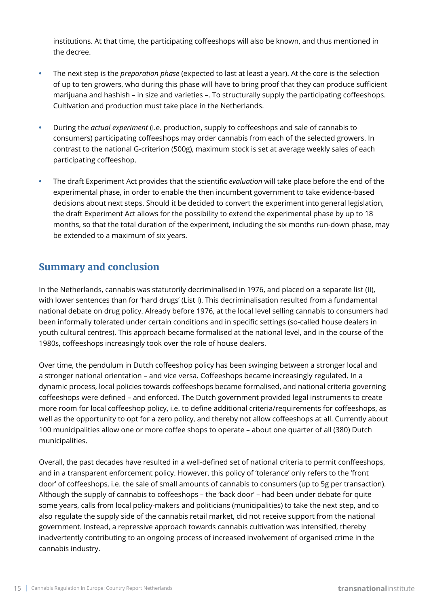institutions. At that time, the participating coffeeshops will also be known, and thus mentioned in the decree.

- **•** The next step is the *preparation phase* (expected to last at least a year). At the core is the selection of up to ten growers, who during this phase will have to bring proof that they can produce sufficient marijuana and hashish – in size and varieties –. To structurally supply the participating coffeeshops. Cultivation and production must take place in the Netherlands.
- **•** During the *actual experiment* (i.e. production, supply to coffeeshops and sale of cannabis to consumers) participating coffeeshops may order cannabis from each of the selected growers. In contrast to the national G-criterion (500g), maximum stock is set at average weekly sales of each participating coffeeshop.
- **•** The draft Experiment Act provides that the scientific *evaluation* will take place before the end of the experimental phase, in order to enable the then incumbent government to take evidence-based decisions about next steps. Should it be decided to convert the experiment into general legislation, the draft Experiment Act allows for the possibility to extend the experimental phase by up to 18 months, so that the total duration of the experiment, including the six months run-down phase, may be extended to a maximum of six years.

#### **Summary and conclusion**

In the Netherlands, cannabis was statutorily decriminalised in 1976, and placed on a separate list (II), with lower sentences than for 'hard drugs' (List I). This decriminalisation resulted from a fundamental national debate on drug policy. Already before 1976, at the local level selling cannabis to consumers had been informally tolerated under certain conditions and in specific settings (so-called house dealers in youth cultural centres). This approach became formalised at the national level, and in the course of the 1980s, coffeeshops increasingly took over the role of house dealers.

Over time, the pendulum in Dutch coffeeshop policy has been swinging between a stronger local and a stronger national orientation – and vice versa. Coffeeshops became increasingly regulated. In a dynamic process, local policies towards coffeeshops became formalised, and national criteria governing coffeeshops were defined – and enforced. The Dutch government provided legal instruments to create more room for local coffeeshop policy, i.e. to define additional criteria/requirements for coffeeshops, as well as the opportunity to opt for a zero policy, and thereby not allow coffeeshops at all. Currently about 100 municipalities allow one or more coffee shops to operate – about one quarter of all (380) Dutch municipalities.

Overall, the past decades have resulted in a well-defined set of national criteria to permit conffeeshops, and in a transparent enforcement policy. However, this policy of 'tolerance' only refers to the 'front door' of coffeeshops, i.e. the sale of small amounts of cannabis to consumers (up to 5g per transaction). Although the supply of cannabis to coffeeshops – the 'back door' – had been under debate for quite some years, calls from local policy-makers and politicians (municipalities) to take the next step, and to also regulate the supply side of the cannabis retail market, did not receive support from the national government. Instead, a repressive approach towards cannabis cultivation was intensified, thereby inadvertently contributing to an ongoing process of increased involvement of organised crime in the cannabis industry.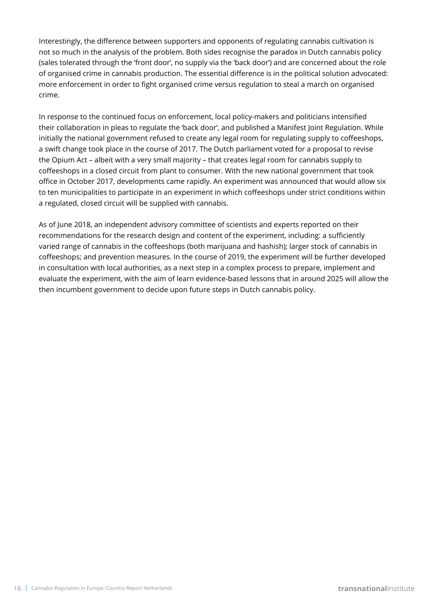Interestingly, the difference between supporters and opponents of regulating cannabis cultivation is not so much in the analysis of the problem. Both sides recognise the paradox in Dutch cannabis policy (sales tolerated through the 'front door', no supply via the 'back door') and are concerned about the role of organised crime in cannabis production. The essential difference is in the political solution advocated: more enforcement in order to fight organised crime versus regulation to steal a march on organised crime.

In response to the continued focus on enforcement, local policy-makers and politicians intensified their collaboration in pleas to regulate the 'back door', and published a Manifest Joint Regulation. While initially the national government refused to create any legal room for regulating supply to coffeeshops, a swift change took place in the course of 2017. The Dutch parliament voted for a proposal to revise the Opium Act – albeit with a very small majority – that creates legal room for cannabis supply to coffeeshops in a closed circuit from plant to consumer. With the new national government that took office in October 2017, developments came rapidly. An experiment was announced that would allow six to ten municipalities to participate in an experiment in which coffeeshops under strict conditions within a regulated, closed circuit will be supplied with cannabis.

As of June 2018, an independent advisory committee of scientists and experts reported on their recommendations for the research design and content of the experiment, including: a sufficiently varied range of cannabis in the coffeeshops (both marijuana and hashish); larger stock of cannabis in coffeeshops; and prevention measures. In the course of 2019, the experiment will be further developed in consultation with local authorities, as a next step in a complex process to prepare, implement and evaluate the experiment, with the aim of learn evidence-based lessons that in around 2025 will allow the then incumbent government to decide upon future steps in Dutch cannabis policy.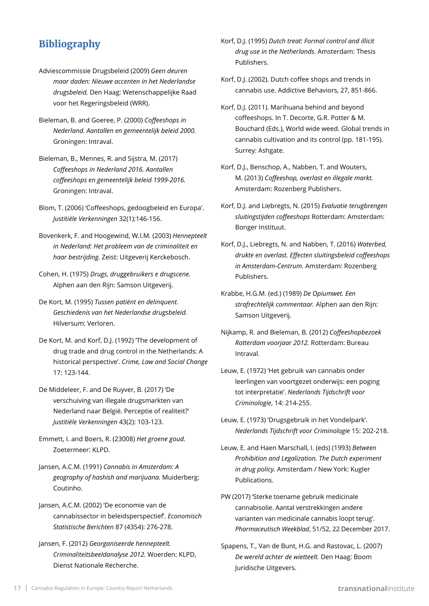### **Bibliography**

- Adviescommissie Drugsbeleid (2009) *Geen deuren maar daden: Nieuwe accenten in het Nederlandse drugsbeleid.* Den Haag: Wetenschappelijke Raad voor het Regeringsbeleid (WRR).
- Bieleman, B. and Goeree, P. (2000) *Coffeeshops in Nederland. Aantallen en gemeentelijk beleid 2000.*  Groningen: Intraval.
- Bieleman, B., Mennes, R. and Sijstra, M. (2017) *Coffeeshops in Nederland 2016. Aantallen coffeeshops en gemeentelijk beleid 1999-2016.* Groningen: Intraval.
- Blom, T. (2006) 'Coffeeshops, gedoogbeleid en Europa'. *Justitiële Verkenningen* 32(1):146-156.
- Bovenkerk, F. and Hoogewind, W.I.M. (2003) *Hennepteelt in Nederland: Het probleem van de criminaliteit en haar bestrijding.* Zeist: Uitgeverij Kerckebosch.
- Cohen, H. (1975) *Drugs, druggebruikers e drugscene.* Alphen aan den Rijn: Samson Uitgeverij.
- De Kort, M. (1995) *Tussen patiënt en delinquent. Geschiedenis van het Nederlandse drugsbeleid.* Hilversum: Verloren.
- De Kort, M. and Korf, D.J. (1992) 'The development of drug trade and drug control in the Netherlands: A historical perspective'. *Crime, Law and Social Change* 17: 123-144.
- De Middeleer, F. and De Ruyver, B. (2017) 'De verschuiving van illegale drugsmarkten van Nederland naar België. Perceptie of realiteit?' *Justitiële Verkenningen* 43(2): 103-123.
- Emmett, I. and Boers, R. (23008) *Het groene goud.* Zoetermeer: KLPD.
- Jansen, A.C.M. (1991) *Cannabis in Amsterdam: A geography of hashish and marijuana.* Muiderberg: Coutinho.
- Jansen, A.C.M. (2002) 'De economie van de cannabissector in beleidsperspectief'. *Economisch Statistische Berichten* 87 (4354): 276-278.
- Jansen, F. (2012) *Georganiseerde hennepteelt. Criminaliteitsbeeldanalyse 2012.* Woerden: KLPD, Dienst Nationale Recherche.
- Korf, D.J. (1995) *Dutch treat: Formal control and illicit drug use in the Netherlands*. Amsterdam: Thesis Publishers.
- Korf, D.J. (2002). Dutch coffee shops and trends in cannabis use. Addictive Behaviors, 27, 851-866.
- Korf, D.J. (2011). Marihuana behind and beyond coffeeshops. In T. Decorte, G.R. Potter & M. Bouchard (Eds.), World wide weed. Global trends in cannabis cultivation and its control (pp. 181-195). Surrey: Ashgate.
- Korf, D.J., Benschop, A., Nabben, T. and Wouters, M. (2013) *Coffeeshop, overlast en illegale markt.* Amsterdam: Rozenberg Publishers.
- Korf, D.J. and Liebregts, N. (2015) *Evaluatie terugbrengen sluitingstijden coffeeshops* Rotterdam: Amsterdam: Bonger Instituut.
- Korf, D.J., Liebregts, N. and Nabben, T. (2016) *Waterbed, drukte en overlast. Effecten sluitingsbeleid coffeeshops in Amsterdam-Centrum.* Amsterdam: Rozenberg Publishers.
- Krabbe, H.G.M. (ed.) (1989) *De Opiumwet. Een strafrechtelijk commentaar.* Alphen aan den Rijn: Samson Uitgeverij.
- Nijkamp, R. and Bieleman, B. (2012) *Coffeeshopbezoek Rotterdam voorjaar 2012.* Rotterdam: Bureau Intraval.
- Leuw, E. (1972) 'Het gebruik van cannabis onder leerlingen van voortgezet onderwijs: een poging tot interpretatie'. *Nederlands Tijdschrift voor Criminologie*, 14: 214-255.
- Leuw, E. (1973) 'Drugsgebruik in het Vondelpark'. *Nederlands Tijdschrift voor Criminologie* 15: 202-218.
- Leuw, E. and Haen Marschall, I. (eds) (1993) *Between Prohibition and Legalization. The Dutch experiment in drug policy.* Amsterdam / New York: Kugler Publications.
- PW (2017) 'Sterke toename gebruik medicinale cannabisolie. Aantal verstrekkingen andere varianten van medicinale cannabis loopt terug'. *Pharmaceutisch Weekblad*, 51/52, 22 December 2017.
- Spapens, T., Van de Bunt, H.G. and Rastovac, L. (2007) *De wereld achter de wietteelt.* Den Haag: Boom Juridische Uitgevers.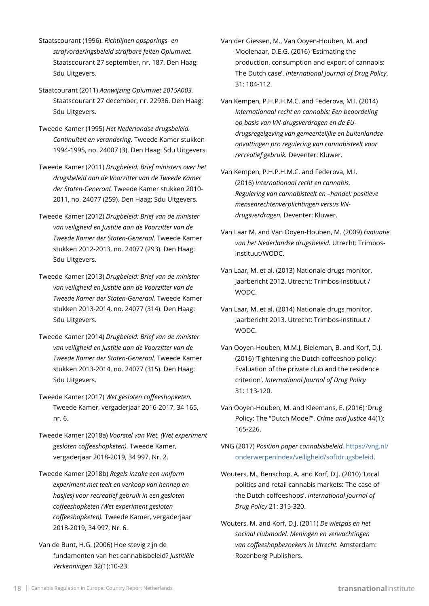- Staatscourant (1996). *Richtlijnen opsporings- en strafvorderingsbeleid strafbare feiten Opiumwet.* Staatscourant 27 september, nr. 187. Den Haag: Sdu Uitgevers.
- Staatcourant (2011) *Aanwijzing Opiumwet 2015A003.* Staatscourant 27 december, nr. 22936. Den Haag: Sdu Uitgevers.
- Tweede Kamer (1995) *Het Nederlandse drugsbeleid. Continuïteit en verandering.* Tweede Kamer stukken 1994-1995, no. 24007 (3). Den Haag: Sdu Uitgevers.
- Tweede Kamer (2011) *Drugbeleid: Brief ministers over het drugsbeleid aan de Voorzitter van de Tweede Kamer der Staten-Generaal.* Tweede Kamer stukken 2010- 2011, no. 24077 (259). Den Haag: Sdu Uitgevers.
- Tweede Kamer (2012) *Drugbeleid: Brief van de minister van veiligheid en Justitie aan de Voorzitter van de Tweede Kamer der Staten-Generaal.* Tweede Kamer stukken 2012-2013, no. 24077 (293). Den Haag: Sdu Uitgevers.
- Tweede Kamer (2013) *Drugbeleid: Brief van de minister van veiligheid en Justitie aan de Voorzitter van de Tweede Kamer der Staten-Generaal.* Tweede Kamer stukken 2013-2014, no. 24077 (314). Den Haag: Sdu Uitgevers.
- Tweede Kamer (2014) *Drugbeleid: Brief van de minister van veiligheid en Justitie aan de Voorzitter van de Tweede Kamer der Staten-Generaal.* Tweede Kamer stukken 2013-2014, no. 24077 (315). Den Haag: Sdu Uitgevers.
- Tweede Kamer (2017) *Wet gesloten coffeeshopketen.* Tweede Kamer, vergaderjaar 2016-2017, 34 165, nr. 6.
- Tweede Kamer (2018a) *Voorstel van Wet. (Wet experiment gesloten coffeeshopketen).* Tweede Kamer, vergaderjaar 2018-2019, 34 997, Nr. 2.
- Tweede Kamer (2018b) *Regels inzake een uniform experiment met teelt en verkoop van hennep en hasjiesj voor recreatief gebruik in een gesloten coffeeshopketen (Wet experiment gesloten coffeeshopketen).* Tweede Kamer, vergaderjaar 2018-2019, 34 997, Nr. 6.
- Van de Bunt, H.G. (2006) Hoe stevig zijn de fundamenten van het cannabisbeleid? *Justitiële Verkenningen* 32(1):10-23.
- Van der Giessen, M., Van Ooyen-Houben, M. and Moolenaar, D.E.G. (2016) 'Estimating the production, consumption and export of cannabis: The Dutch case'. *International Journal of Drug Policy*, 31: 104-112.
- Van Kempen, P.H.P.H.M.C. and Federova, M.I. (2014) *Internationaal recht en cannabis: Een beoordeling op basis van VN-drugsverdragen en de EUdrugsregelgeving van gemeentelijke en buitenlandse opvattingen pro regulering van cannabisteelt voor recreatief gebruik.* Deventer: Kluwer.
- Van Kempen, P.H.P.H.M.C. and Federova, M.I. (2016) *Internationaal recht en cannabis. Regulering van cannabisteelt en –handel: positieve mensenrechtenverplichtingen versus VNdrugsverdragen.* Deventer: Kluwer.
- Van Laar M. and Van Ooyen-Houben, M. (2009) *Evaluatie van het Nederlandse drugsbeleid.* Utrecht: Trimbosinstituut/WODC.
- Van Laar, M. et al. (2013) Nationale drugs monitor, Jaarbericht 2012. Utrecht: Trimbos-instituut / WODC.
- Van Laar, M. et al. (2014) Nationale drugs monitor, Jaarbericht 2013. Utrecht: Trimbos-instituut / WODC.
- Van Ooyen-Houben, M.M.J, Bieleman, B. and Korf, D.J. (2016) 'Tightening the Dutch coffeeshop policy: Evaluation of the private club and the residence criterion'. *International Journal of Drug Policy* 31: 113-120.
- Van Ooyen-Houben, M. and Kleemans, E. (2016) 'Drug Policy: The "Dutch Model"'. *Crime and Justice* 44(1): 165-226.
- VNG (2017) *Position paper cannabisbeleid.* [https://vng.nl/](https://vng.nl/onderwerpenindex/veiligheid/softdrugsbeleid) [onderwerpenindex/veiligheid/softdrugsbeleid](https://vng.nl/onderwerpenindex/veiligheid/softdrugsbeleid).
- Wouters, M., Benschop, A. and Korf, D.J. (2010) 'Local politics and retail cannabis markets: The case of the Dutch coffeeshops'. *International Journal of Drug Policy* 21: 315-320.
- Wouters, M. and Korf, D.J. (2011) *De wietpas en het sociaal clubmodel. Meningen en verwachtingen van coffeeshopbezoekers in Utrecht.* Amsterdam: Rozenberg Publishers.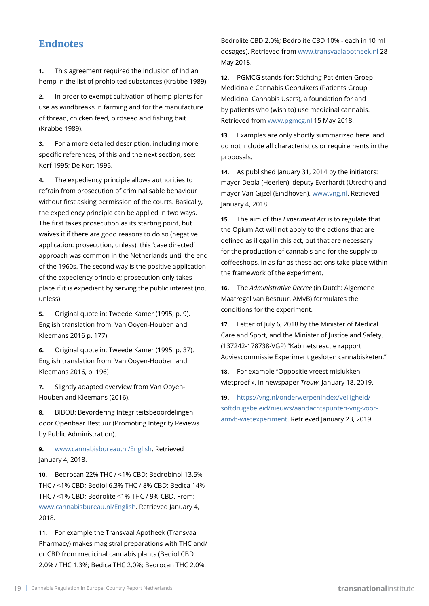#### **Endnotes**

**1.** This agreement required the inclusion of Indian hemp in the list of prohibited substances (Krabbe 1989).

**2.** In order to exempt cultivation of hemp plants for use as windbreaks in farming and for the manufacture of thread, chicken feed, birdseed and fishing bait (Krabbe 1989).

**3.** For a more detailed description, including more specific references, of this and the next section, see: Korf 1995; De Kort 1995.

**4.** The expediency principle allows authorities to refrain from prosecution of criminalisable behaviour without first asking permission of the courts. Basically, the expediency principle can be applied in two ways. The first takes prosecution as its starting point, but waives it if there are good reasons to do so (negative application: prosecution, unless); this 'case directed' approach was common in the Netherlands until the end of the 1960s. The second way is the positive application of the expediency principle; prosecution only takes place if it is expedient by serving the public interest (no, unless).

**5.** Original quote in: Tweede Kamer (1995, p. 9). English translation from: Van Ooyen-Houben and Kleemans 2016 p. 177)

**6.** Original quote in: Tweede Kamer (1995, p. 37). English translation from: Van Ooyen-Houben and Kleemans 2016, p. 196)

**7.** Slightly adapted overview from Van Ooyen-Houben and Kleemans (2016).

**8.** BIBOB: Bevordering Integriteitsbeoordelingen door Openbaar Bestuur (Promoting Integrity Reviews by Public Administration).

**9.** [www.cannabisbureau.nl/English.](http://www.cannabisbureau.nl/English) Retrieved January 4, 2018.

**10.** Bedrocan 22% THC / <1% CBD; Bedrobinol 13.5% THC / <1% CBD; Bediol 6.3% THC / 8% CBD; Bedica 14% THC / <1% CBD; Bedrolite <1% THC / 9% CBD. From: [www.cannabisbureau.nl/English](http://www.cannabisbureau.nl/English). Retrieved January 4, 2018.

**11.** For example the Transvaal Apotheek (Transvaal Pharmacy) makes magistral preparations with THC and/ or CBD from medicinal cannabis plants (Bediol CBD 2.0% / THC 1.3%; Bedica THC 2.0%; Bedrocan THC 2.0%;

Bedrolite CBD 2.0%; Bedrolite CBD 10% - each in 10 ml dosages). Retrieved from [www.transvaalapotheek.nl](http://www.transvaalapotheek.nl) 28 May 2018.

**12.** PGMCG stands for: Stichting Patiënten Groep Medicinale Cannabis Gebruikers (Patients Group Medicinal Cannabis Users), a foundation for and by patients who (wish to) use medicinal cannabis. Retrieved from [www.pgmcg.nl](http://www.pgmcg.nl) 15 May 2018.

**13.** Examples are only shortly summarized here, and do not include all characteristics or requirements in the proposals.

**14.** As published January 31, 2014 by the initiators: mayor Depla (Heerlen), deputy Everhardt (Utrecht) and mayor Van Gijzel (Eindhoven). [www.vng.nl](http://www.vng.nl). Retrieved January 4, 2018.

**15.** The aim of this *Experiment Act* is to regulate that the Opium Act will not apply to the actions that are defined as illegal in this act, but that are necessary for the production of cannabis and for the supply to coffeeshops, in as far as these actions take place within the framework of the experiment.

**16.** The *Administrative Decree* (in Dutch: Algemene Maatregel van Bestuur, AMvB) formulates the conditions for the experiment.

**17.** Letter of July 6, 2018 by the Minister of Medical Care and Sport, and the Minister of Justice and Safety. (137242-178738-VGP) "Kabinetsreactie rapport Adviescommissie Experiment gesloten cannabisketen."

**18.** For example "Oppositie vreest mislukken wietproef », in newspaper *Trouw*, January 18, 2019.

**19.** [https://vng.nl/onderwerpenindex/veiligheid/](https://vng.nl/onderwerpenindex/veiligheid/softdrugsbeleid/nieuws/aandachtspunten-vng-voor-amvb-wietexperiment) [softdrugsbeleid/nieuws/aandachtspunten-vng-voor](https://vng.nl/onderwerpenindex/veiligheid/softdrugsbeleid/nieuws/aandachtspunten-vng-voor-amvb-wietexperiment)[amvb-wietexperiment.](https://vng.nl/onderwerpenindex/veiligheid/softdrugsbeleid/nieuws/aandachtspunten-vng-voor-amvb-wietexperiment) Retrieved January 23, 2019.